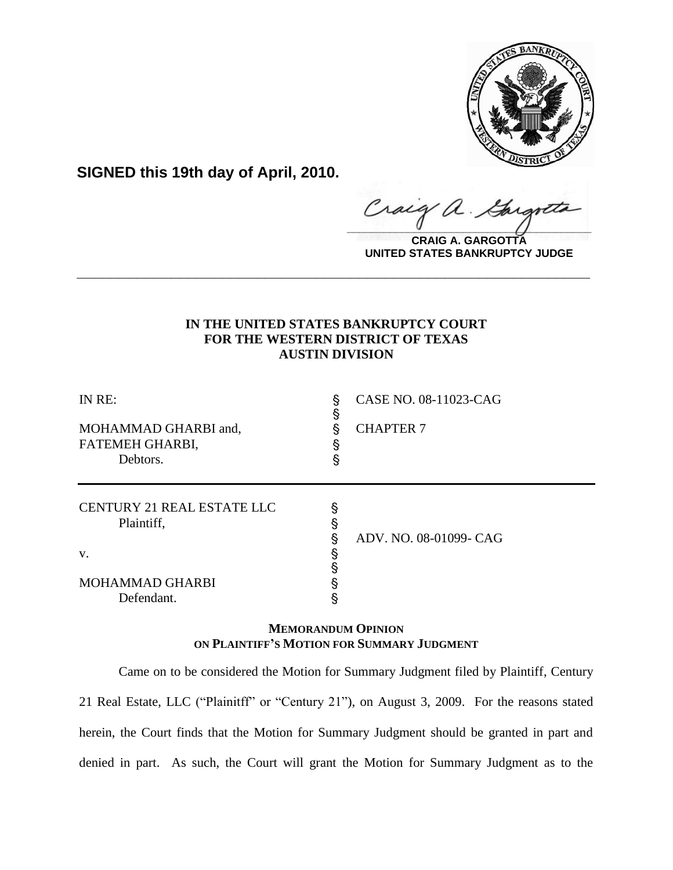

**SIGNED this 19th day of April, 2010.**

Craig  $\frac{1}{2}$ 

**CRAIG A. GARGOTTA UNITED STATES BANKRUPTCY JUDGE**

# **IN THE UNITED STATES BANKRUPTCY COURT FOR THE WESTERN DISTRICT OF TEXAS AUSTIN DIVISION**

**\_\_\_\_\_\_\_\_\_\_\_\_\_\_\_\_\_\_\_\_\_\_\_\_\_\_\_\_\_\_\_\_\_\_\_\_\_\_\_\_\_\_\_\_\_\_\_\_\_\_\_\_\_\_\_\_\_\_\_\_**

| IN RE:                                   | ş<br>§ | CASE NO. 08-11023-CAG  |
|------------------------------------------|--------|------------------------|
| MOHAMMAD GHARBI and,                     | ş      | <b>CHAPTER 7</b>       |
| FATEMEH GHARBI,                          | ş      |                        |
| Debtors.                                 | ş      |                        |
| CENTURY 21 REAL ESTATE LLC<br>Plaintiff, | §<br>§ |                        |
|                                          | §      | ADV. NO. 08-01099- CAG |
| V.                                       | §      |                        |
|                                          |        |                        |
| MOHAMMAD GHARBI                          | §      |                        |
| Defendant.                               |        |                        |

# **MEMORANDUM OPINION ON PLAINTIFF'S MOTION FOR SUMMARY JUDGMENT**

Came on to be considered the Motion for Summary Judgment filed by Plaintiff, Century 21 Real Estate, LLC ("Plainitff" or "Century 21"), on August 3, 2009. For the reasons stated herein, the Court finds that the Motion for Summary Judgment should be granted in part and denied in part. As such, the Court will grant the Motion for Summary Judgment as to the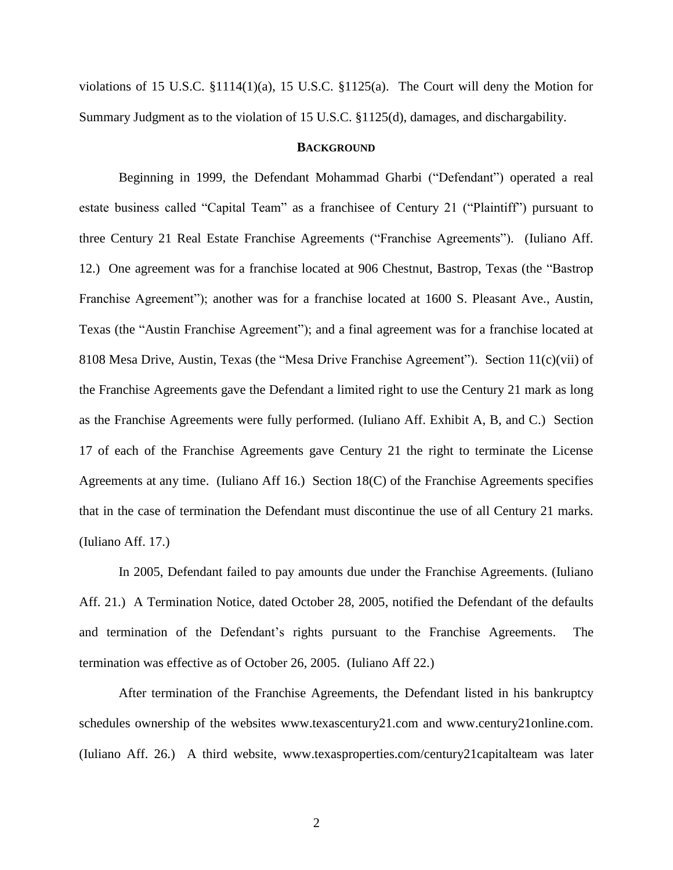violations of 15 U.S.C. §1114(1)(a), 15 U.S.C. §1125(a). The Court will deny the Motion for Summary Judgment as to the violation of 15 U.S.C. §1125(d), damages, and dischargability.

### **BACKGROUND**

Beginning in 1999, the Defendant Mohammad Gharbi ("Defendant") operated a real estate business called "Capital Team" as a franchisee of Century 21 ("Plaintiff") pursuant to three Century 21 Real Estate Franchise Agreements ("Franchise Agreements"). (Iuliano Aff. 12.) One agreement was for a franchise located at 906 Chestnut, Bastrop, Texas (the "Bastrop Franchise Agreement"); another was for a franchise located at 1600 S. Pleasant Ave., Austin, Texas (the "Austin Franchise Agreement"); and a final agreement was for a franchise located at 8108 Mesa Drive, Austin, Texas (the "Mesa Drive Franchise Agreement"). Section 11(c)(vii) of the Franchise Agreements gave the Defendant a limited right to use the Century 21 mark as long as the Franchise Agreements were fully performed. (Iuliano Aff. Exhibit A, B, and C.) Section 17 of each of the Franchise Agreements gave Century 21 the right to terminate the License Agreements at any time. (Iuliano Aff 16.) Section 18(C) of the Franchise Agreements specifies that in the case of termination the Defendant must discontinue the use of all Century 21 marks. (Iuliano Aff. 17.)

In 2005, Defendant failed to pay amounts due under the Franchise Agreements. (Iuliano Aff. 21.) A Termination Notice, dated October 28, 2005, notified the Defendant of the defaults and termination of the Defendant"s rights pursuant to the Franchise Agreements. The termination was effective as of October 26, 2005. (Iuliano Aff 22.)

After termination of the Franchise Agreements, the Defendant listed in his bankruptcy schedules ownership of the websites www.texascentury21.com and www.century21online.com. (Iuliano Aff. 26.) A third website, www.texasproperties.com/century21capitalteam was later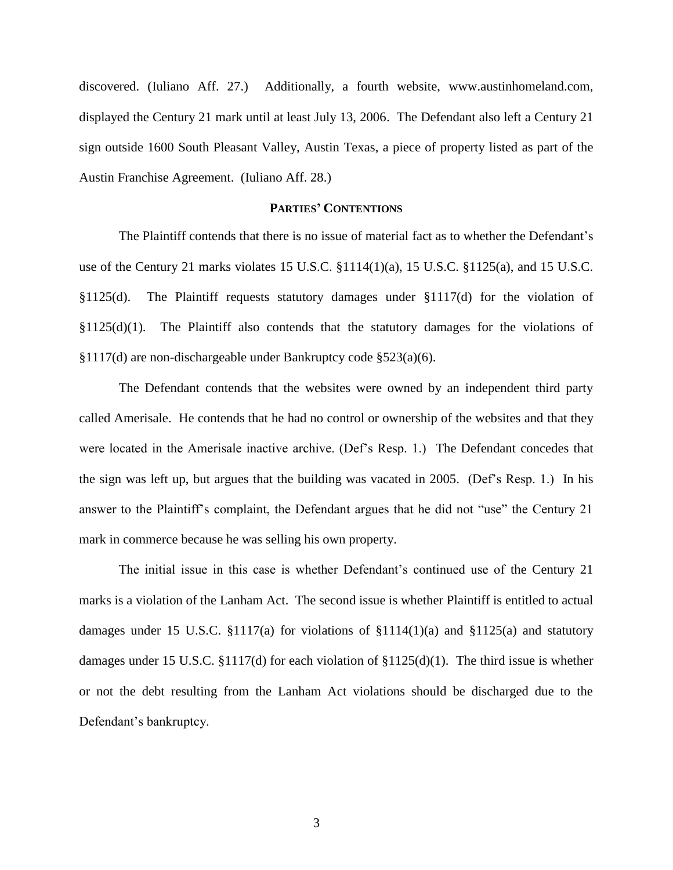discovered. (Iuliano Aff. 27.) Additionally, a fourth website, www.austinhomeland.com, displayed the Century 21 mark until at least July 13, 2006. The Defendant also left a Century 21 sign outside 1600 South Pleasant Valley, Austin Texas, a piece of property listed as part of the Austin Franchise Agreement. (Iuliano Aff. 28.)

# **PARTIES' CONTENTIONS**

The Plaintiff contends that there is no issue of material fact as to whether the Defendant's use of the Century 21 marks violates 15 U.S.C.  $\S 1114(1)(a)$ , 15 U.S.C.  $\S 1125(a)$ , and 15 U.S.C. §1125(d). The Plaintiff requests statutory damages under §1117(d) for the violation of  $§1125(d)(1)$ . The Plaintiff also contends that the statutory damages for the violations of §1117(d) are non-dischargeable under Bankruptcy code §523(a)(6).

The Defendant contends that the websites were owned by an independent third party called Amerisale. He contends that he had no control or ownership of the websites and that they were located in the Amerisale inactive archive. (Def's Resp. 1.) The Defendant concedes that the sign was left up, but argues that the building was vacated in 2005. (Def"s Resp. 1.) In his answer to the Plaintiff"s complaint, the Defendant argues that he did not "use" the Century 21 mark in commerce because he was selling his own property.

The initial issue in this case is whether Defendant"s continued use of the Century 21 marks is a violation of the Lanham Act. The second issue is whether Plaintiff is entitled to actual damages under 15 U.S.C. §1117(a) for violations of  $$1114(1)(a)$  and  $$1125(a)$  and statutory damages under 15 U.S.C. §1117(d) for each violation of §1125(d)(1). The third issue is whether or not the debt resulting from the Lanham Act violations should be discharged due to the Defendant"s bankruptcy.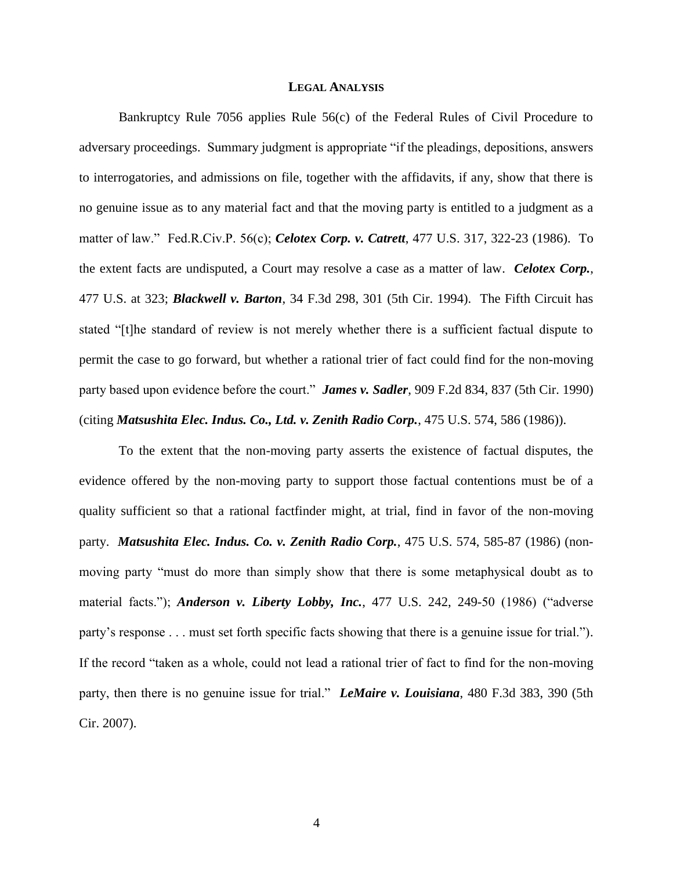### **LEGAL ANALYSIS**

Bankruptcy Rule 7056 applies Rule 56(c) of the Federal Rules of Civil Procedure to adversary proceedings. Summary judgment is appropriate "if the pleadings, depositions, answers to interrogatories, and admissions on file, together with the affidavits, if any, show that there is no genuine issue as to any material fact and that the moving party is entitled to a judgment as a matter of law." Fed.R.Civ.P. 56(c); *Celotex Corp. v. Catrett*, 477 U.S. 317, 322-23 (1986). To the extent facts are undisputed, a Court may resolve a case as a matter of law. *Celotex Corp.*, 477 U.S. at 323; *Blackwell v. Barton*, 34 F.3d 298, 301 (5th Cir. 1994). The Fifth Circuit has stated "[t]he standard of review is not merely whether there is a sufficient factual dispute to permit the case to go forward, but whether a rational trier of fact could find for the non-moving party based upon evidence before the court." *James v. Sadler*, 909 F.2d 834, 837 (5th Cir. 1990) (citing *Matsushita Elec. Indus. Co., Ltd. v. Zenith Radio Corp.*, 475 U.S. 574, 586 (1986)).

To the extent that the non-moving party asserts the existence of factual disputes, the evidence offered by the non-moving party to support those factual contentions must be of a quality sufficient so that a rational factfinder might, at trial, find in favor of the non-moving party. *Matsushita Elec. Indus. Co. v. Zenith Radio Corp.*, 475 U.S. 574, 585-87 (1986) (nonmoving party "must do more than simply show that there is some metaphysical doubt as to material facts."); *Anderson v. Liberty Lobby, Inc.*, 477 U.S. 242, 249-50 (1986) ("adverse party"s response . . . must set forth specific facts showing that there is a genuine issue for trial."). If the record "taken as a whole, could not lead a rational trier of fact to find for the non-moving party, then there is no genuine issue for trial." *LeMaire v. Louisiana*, 480 F.3d 383, 390 (5th Cir. 2007).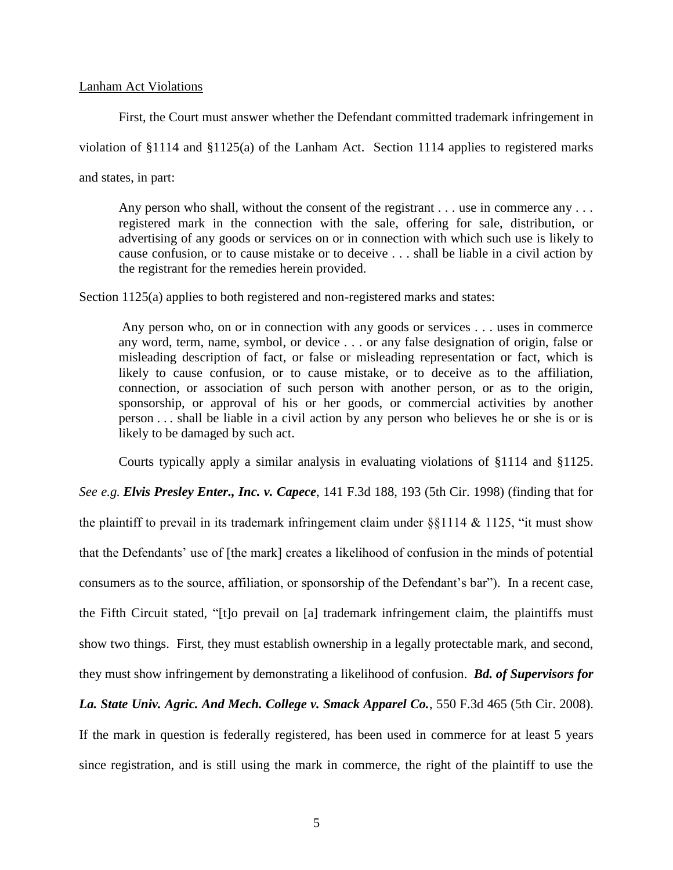#### Lanham Act Violations

First, the Court must answer whether the Defendant committed trademark infringement in

violation of §1114 and §1125(a) of the Lanham Act. Section 1114 applies to registered marks

and states, in part:

Any person who shall, without the consent of the registrant . . . use in commerce any . . . registered mark in the connection with the sale, offering for sale, distribution, or advertising of any goods or services on or in connection with which such use is likely to cause confusion, or to cause mistake or to deceive . . . shall be liable in a civil action by the registrant for the remedies herein provided.

Section 1125(a) applies to both registered and non-registered marks and states:

Any person who, on or in connection with any goods or services . . . uses in commerce any word, term, name, symbol, or device . . . or any false designation of origin, false or misleading description of fact, or false or misleading representation or fact, which is likely to cause confusion, or to cause mistake, or to deceive as to the affiliation, connection, or association of such person with another person, or as to the origin, sponsorship, or approval of his or her goods, or commercial activities by another person . . . shall be liable in a civil action by any person who believes he or she is or is likely to be damaged by such act.

Courts typically apply a similar analysis in evaluating violations of §1114 and §1125.

*See e.g. Elvis Presley Enter., Inc. v. Capece*, 141 F.3d 188, 193 (5th Cir. 1998) (finding that for the plaintiff to prevail in its trademark infringement claim under  $\S$ \$1114 & 1125, "it must show that the Defendants' use of [the mark] creates a likelihood of confusion in the minds of potential consumers as to the source, affiliation, or sponsorship of the Defendant"s bar").In a recent case, the Fifth Circuit stated, "[t]o prevail on [a] trademark infringement claim, the plaintiffs must show two things. First, they must establish ownership in a legally protectable mark, and second, they must show infringement by demonstrating a likelihood of confusion. *Bd. of Supervisors for* 

# *La. State Univ. Agric. And Mech. College v. Smack Apparel Co.*, 550 F.3d 465 (5th Cir. 2008).

If the mark in question is federally registered, has been used in commerce for at least 5 years since registration, and is still using the mark in commerce, the right of the plaintiff to use the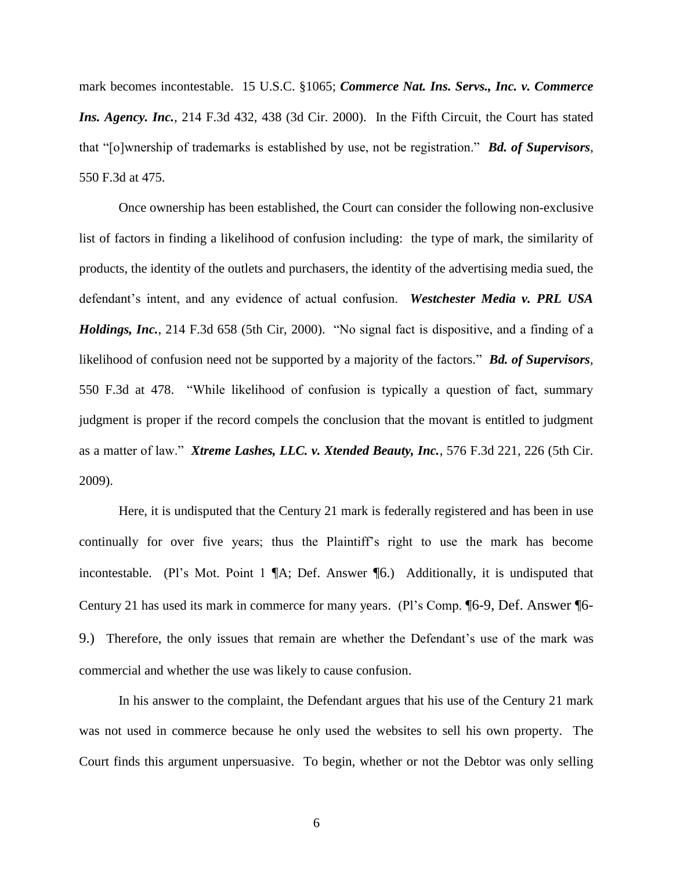mark becomes incontestable. 15 U.S.C. §1065; *Commerce Nat. Ins. Servs., Inc. v. Commerce Ins. Agency. Inc.,* 214 F.3d 432, 438 (3d Cir. 2000). In the Fifth Circuit, the Court has stated that "[o]wnership of trademarks is established by use, not be registration." *Bd. of Supervisors*, 550 F.3d at 475.

Once ownership has been established, the Court can consider the following non-exclusive list of factors in finding a likelihood of confusion including: the type of mark, the similarity of products, the identity of the outlets and purchasers, the identity of the advertising media sued, the defendant"s intent, and any evidence of actual confusion. *Westchester Media v. PRL USA Holdings, Inc.*, 214 F.3d 658 (5th Cir, 2000). "No signal fact is dispositive, and a finding of a likelihood of confusion need not be supported by a majority of the factors." *Bd. of Supervisors*, 550 F.3d at 478. "While likelihood of confusion is typically a question of fact, summary judgment is proper if the record compels the conclusion that the movant is entitled to judgment as a matter of law." *Xtreme Lashes, LLC. v. Xtended Beauty, Inc.*, 576 F.3d 221, 226 (5th Cir. 2009).

Here, it is undisputed that the Century 21 mark is federally registered and has been in use continually for over five years; thus the Plaintiff"s right to use the mark has become incontestable. (Pl's Mot. Point 1  $\mathbb{A}$ ; Def. Answer  $\mathbb{I}$ 6.) Additionally, it is undisputed that Century 21 has used its mark in commerce for many years. (Pl"s Comp. ¶6-9, Def. Answer ¶6- 9.) Therefore, the only issues that remain are whether the Defendant's use of the mark was commercial and whether the use was likely to cause confusion.

In his answer to the complaint, the Defendant argues that his use of the Century 21 mark was not used in commerce because he only used the websites to sell his own property. The Court finds this argument unpersuasive. To begin, whether or not the Debtor was only selling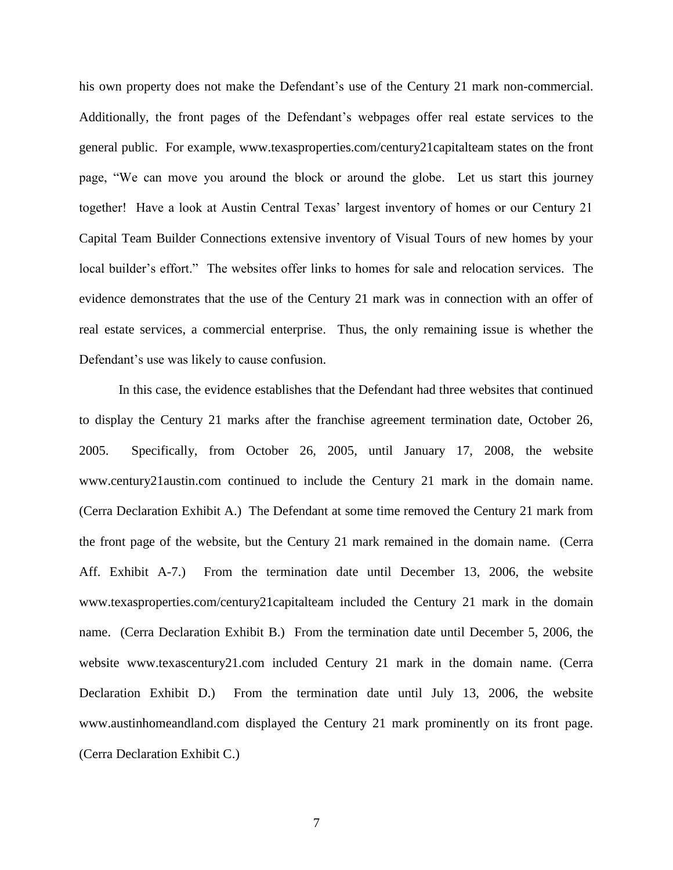his own property does not make the Defendant's use of the Century 21 mark non-commercial. Additionally, the front pages of the Defendant"s webpages offer real estate services to the general public. For example, www.texasproperties.com/century21capitalteam states on the front page, "We can move you around the block or around the globe. Let us start this journey together! Have a look at Austin Central Texas' largest inventory of homes or our Century 21 Capital Team Builder Connections extensive inventory of Visual Tours of new homes by your local builder"s effort." The websites offer links to homes for sale and relocation services. The evidence demonstrates that the use of the Century 21 mark was in connection with an offer of real estate services, a commercial enterprise. Thus, the only remaining issue is whether the Defendant's use was likely to cause confusion.

In this case, the evidence establishes that the Defendant had three websites that continued to display the Century 21 marks after the franchise agreement termination date, October 26, 2005. Specifically, from October 26, 2005, until January 17, 2008, the website www.century21austin.com continued to include the Century 21 mark in the domain name. (Cerra Declaration Exhibit A.) The Defendant at some time removed the Century 21 mark from the front page of the website, but the Century 21 mark remained in the domain name. (Cerra Aff. Exhibit A-7.) From the termination date until December 13, 2006, the website www.texasproperties.com/century21capitalteam included the Century 21 mark in the domain name. (Cerra Declaration Exhibit B.) From the termination date until December 5, 2006, the website www.texascentury21.com included Century 21 mark in the domain name. (Cerra Declaration Exhibit D.) From the termination date until July 13, 2006, the website www.austinhomeandland.com displayed the Century 21 mark prominently on its front page. (Cerra Declaration Exhibit C.)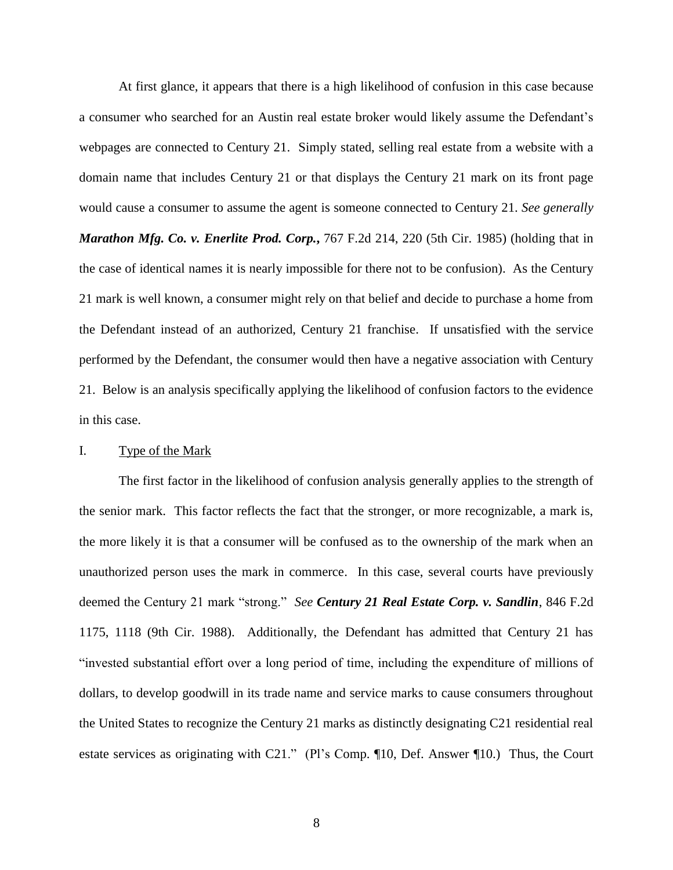At first glance, it appears that there is a high likelihood of confusion in this case because a consumer who searched for an Austin real estate broker would likely assume the Defendant"s webpages are connected to Century 21. Simply stated, selling real estate from a website with a domain name that includes Century 21 or that displays the Century 21 mark on its front page would cause a consumer to assume the agent is someone connected to Century 21. *See generally Marathon Mfg. Co. v. Enerlite Prod. Corp.*, 767 F.2d 214, 220 (5th Cir. 1985) (holding that in the case of identical names it is nearly impossible for there not to be confusion). As the Century 21 mark is well known, a consumer might rely on that belief and decide to purchase a home from the Defendant instead of an authorized, Century 21 franchise. If unsatisfied with the service performed by the Defendant, the consumer would then have a negative association with Century 21. Below is an analysis specifically applying the likelihood of confusion factors to the evidence in this case.

## I. Type of the Mark

The first factor in the likelihood of confusion analysis generally applies to the strength of the senior mark. This factor reflects the fact that the stronger, or more recognizable, a mark is, the more likely it is that a consumer will be confused as to the ownership of the mark when an unauthorized person uses the mark in commerce. In this case, several courts have previously deemed the Century 21 mark "strong." *See Century 21 Real Estate Corp. v. Sandlin*, 846 F.2d 1175, 1118 (9th Cir. 1988). Additionally, the Defendant has admitted that Century 21 has "invested substantial effort over a long period of time, including the expenditure of millions of dollars, to develop goodwill in its trade name and service marks to cause consumers throughout the United States to recognize the Century 21 marks as distinctly designating C21 residential real estate services as originating with C21." (Pl's Comp. ¶10, Def. Answer ¶10.) Thus, the Court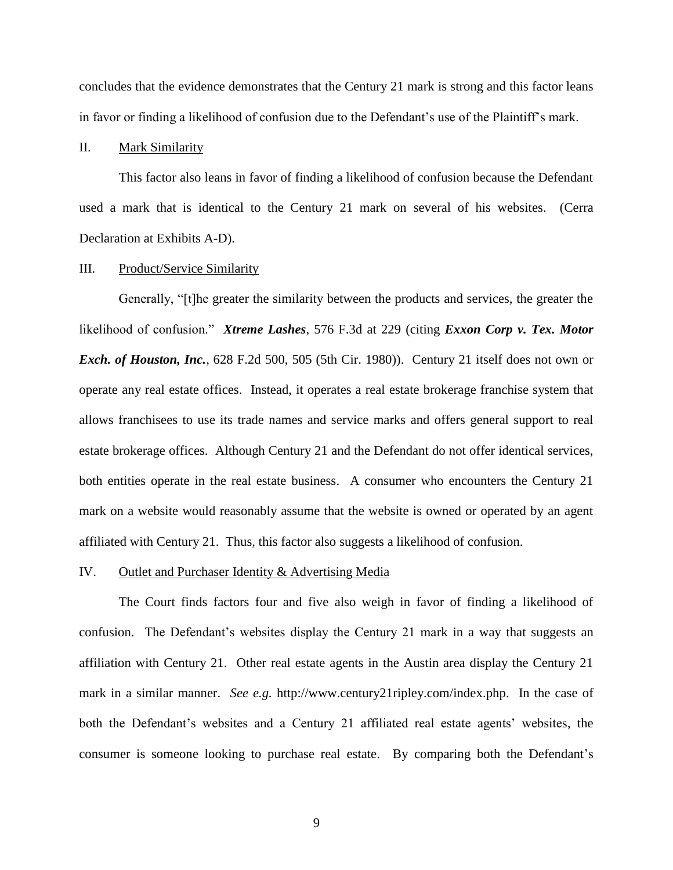concludes that the evidence demonstrates that the Century 21 mark is strong and this factor leans in favor or finding a likelihood of confusion due to the Defendant's use of the Plaintiff's mark.

### II. Mark Similarity

This factor also leans in favor of finding a likelihood of confusion because the Defendant used a mark that is identical to the Century 21 mark on several of his websites. (Cerra Declaration at Exhibits A-D).

### III. Product/Service Similarity

Generally, "[t]he greater the similarity between the products and services, the greater the likelihood of confusion." *Xtreme Lashes*, 576 F.3d at 229 (citing *Exxon Corp v. Tex. Motor Exch. of Houston, Inc.*, 628 F.2d 500, 505 (5th Cir. 1980)). Century 21 itself does not own or operate any real estate offices. Instead, it operates a real estate brokerage franchise system that allows franchisees to use its trade names and service marks and offers general support to real estate brokerage offices. Although Century 21 and the Defendant do not offer identical services, both entities operate in the real estate business. A consumer who encounters the Century 21 mark on a website would reasonably assume that the website is owned or operated by an agent affiliated with Century 21. Thus, this factor also suggests a likelihood of confusion.

#### IV. Outlet and Purchaser Identity & Advertising Media

The Court finds factors four and five also weigh in favor of finding a likelihood of confusion. The Defendant"s websites display the Century 21 mark in a way that suggests an affiliation with Century 21. Other real estate agents in the Austin area display the Century 21 mark in a similar manner. *See e.g.* http://www.century21ripley.com/index.php. In the case of both the Defendant's websites and a Century 21 affiliated real estate agents' websites, the consumer is someone looking to purchase real estate. By comparing both the Defendant"s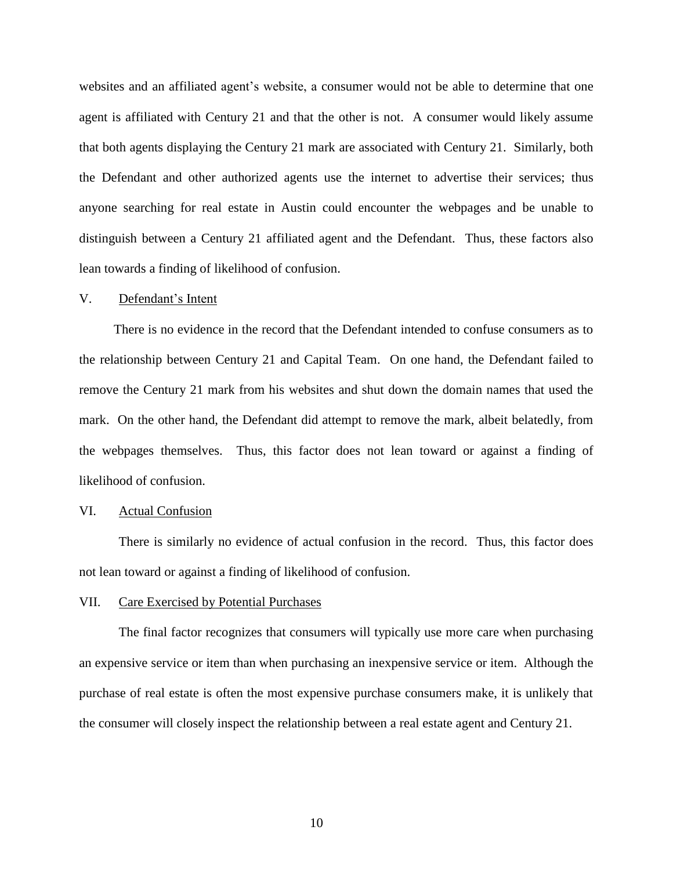websites and an affiliated agent's website, a consumer would not be able to determine that one agent is affiliated with Century 21 and that the other is not. A consumer would likely assume that both agents displaying the Century 21 mark are associated with Century 21. Similarly, both the Defendant and other authorized agents use the internet to advertise their services; thus anyone searching for real estate in Austin could encounter the webpages and be unable to distinguish between a Century 21 affiliated agent and the Defendant. Thus, these factors also lean towards a finding of likelihood of confusion.

#### V. Defendant"s Intent

There is no evidence in the record that the Defendant intended to confuse consumers as to the relationship between Century 21 and Capital Team. On one hand, the Defendant failed to remove the Century 21 mark from his websites and shut down the domain names that used the mark. On the other hand, the Defendant did attempt to remove the mark, albeit belatedly, from the webpages themselves. Thus, this factor does not lean toward or against a finding of likelihood of confusion.

### VI. Actual Confusion

There is similarly no evidence of actual confusion in the record. Thus, this factor does not lean toward or against a finding of likelihood of confusion.

#### VII. Care Exercised by Potential Purchases

The final factor recognizes that consumers will typically use more care when purchasing an expensive service or item than when purchasing an inexpensive service or item. Although the purchase of real estate is often the most expensive purchase consumers make, it is unlikely that the consumer will closely inspect the relationship between a real estate agent and Century 21.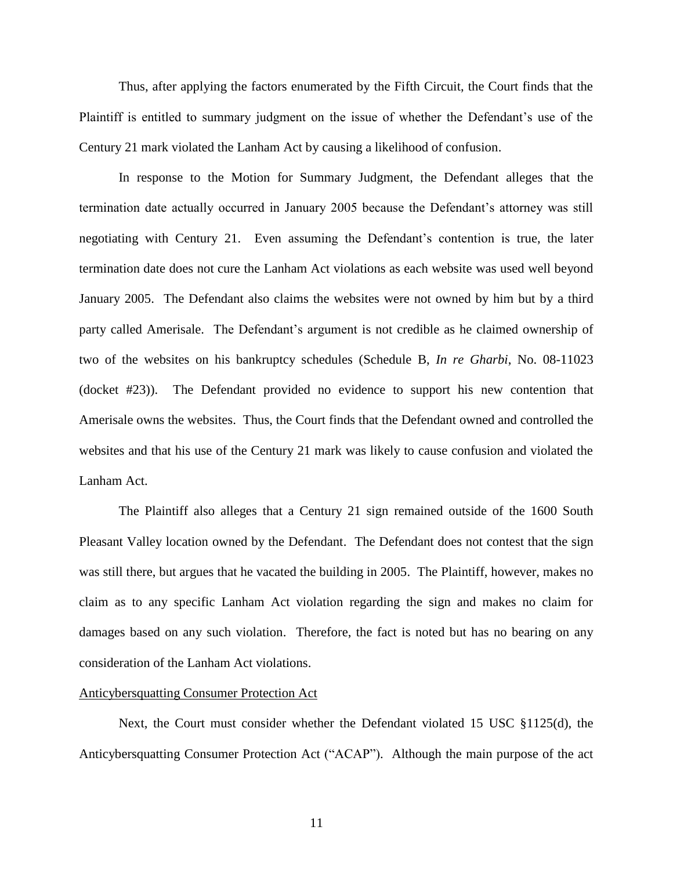Thus, after applying the factors enumerated by the Fifth Circuit, the Court finds that the Plaintiff is entitled to summary judgment on the issue of whether the Defendant's use of the Century 21 mark violated the Lanham Act by causing a likelihood of confusion.

In response to the Motion for Summary Judgment, the Defendant alleges that the termination date actually occurred in January 2005 because the Defendant"s attorney was still negotiating with Century 21. Even assuming the Defendant"s contention is true, the later termination date does not cure the Lanham Act violations as each website was used well beyond January 2005. The Defendant also claims the websites were not owned by him but by a third party called Amerisale. The Defendant"s argument is not credible as he claimed ownership of two of the websites on his bankruptcy schedules (Schedule B, *In re Gharbi*, No. 08-11023 (docket #23)). The Defendant provided no evidence to support his new contention that Amerisale owns the websites. Thus, the Court finds that the Defendant owned and controlled the websites and that his use of the Century 21 mark was likely to cause confusion and violated the Lanham Act.

The Plaintiff also alleges that a Century 21 sign remained outside of the 1600 South Pleasant Valley location owned by the Defendant. The Defendant does not contest that the sign was still there, but argues that he vacated the building in 2005. The Plaintiff, however, makes no claim as to any specific Lanham Act violation regarding the sign and makes no claim for damages based on any such violation. Therefore, the fact is noted but has no bearing on any consideration of the Lanham Act violations.

#### Anticybersquatting Consumer Protection Act

Next, the Court must consider whether the Defendant violated 15 USC §1125(d), the Anticybersquatting Consumer Protection Act ("ACAP"). Although the main purpose of the act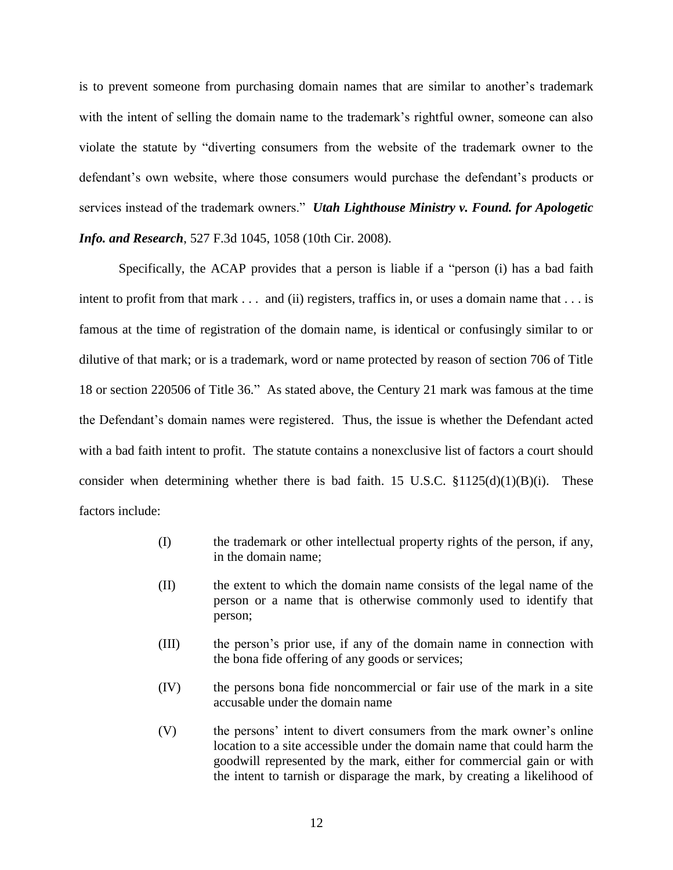is to prevent someone from purchasing domain names that are similar to another"s trademark with the intent of selling the domain name to the trademark's rightful owner, someone can also violate the statute by "diverting consumers from the website of the trademark owner to the defendant"s own website, where those consumers would purchase the defendant"s products or services instead of the trademark owners." *Utah Lighthouse Ministry v. Found. for Apologetic Info. and Research*, 527 F.3d 1045, 1058 (10th Cir. 2008).

Specifically, the ACAP provides that a person is liable if a "person (i) has a bad faith intent to profit from that mark . . . and (ii) registers, traffics in, or uses a domain name that . . . is famous at the time of registration of the domain name, is identical or confusingly similar to or dilutive of that mark; or is a trademark, word or name protected by reason of section 706 of Title 18 or section 220506 of Title 36." As stated above, the Century 21 mark was famous at the time the Defendant"s domain names were registered. Thus, the issue is whether the Defendant acted with a bad faith intent to profit. The statute contains a nonexclusive list of factors a court should consider when determining whether there is bad faith. 15 U.S.C.  $$1125(d)(1)(B)(i)$ . These factors include:

- (I) the trademark or other intellectual property rights of the person, if any, in the domain name;
- (II) the extent to which the domain name consists of the legal name of the person or a name that is otherwise commonly used to identify that person;
- (III) the person"s prior use, if any of the domain name in connection with the bona fide offering of any goods or services;
- (IV) the persons bona fide noncommercial or fair use of the mark in a site accusable under the domain name
- (V) the persons" intent to divert consumers from the mark owner"s online location to a site accessible under the domain name that could harm the goodwill represented by the mark, either for commercial gain or with the intent to tarnish or disparage the mark, by creating a likelihood of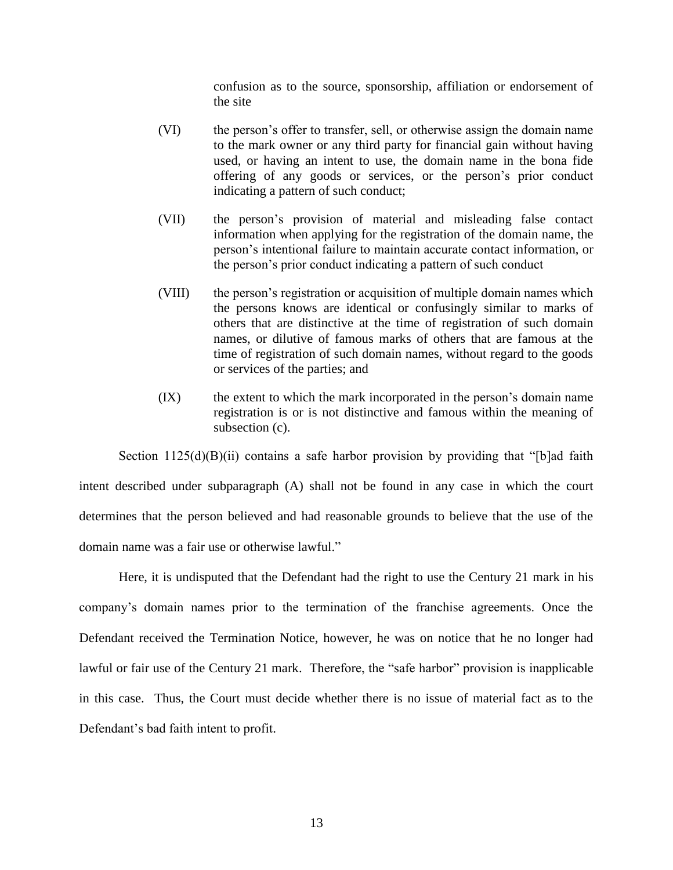confusion as to the source, sponsorship, affiliation or endorsement of the site

- (VI) the person"s offer to transfer, sell, or otherwise assign the domain name to the mark owner or any third party for financial gain without having used, or having an intent to use, the domain name in the bona fide offering of any goods or services, or the person"s prior conduct indicating a pattern of such conduct;
- (VII) the person"s provision of material and misleading false contact information when applying for the registration of the domain name, the person"s intentional failure to maintain accurate contact information, or the person"s prior conduct indicating a pattern of such conduct
- (VIII) the person"s registration or acquisition of multiple domain names which the persons knows are identical or confusingly similar to marks of others that are distinctive at the time of registration of such domain names, or dilutive of famous marks of others that are famous at the time of registration of such domain names, without regard to the goods or services of the parties; and
- (IX) the extent to which the mark incorporated in the person"s domain name registration is or is not distinctive and famous within the meaning of subsection (c).

Section  $1125(d)(B)(ii)$  contains a safe harbor provision by providing that "[b]ad faith intent described under subparagraph (A) shall not be found in any case in which the court determines that the person believed and had reasonable grounds to believe that the use of the domain name was a fair use or otherwise lawful."

Here, it is undisputed that the Defendant had the right to use the Century 21 mark in his company"s domain names prior to the termination of the franchise agreements. Once the Defendant received the Termination Notice, however, he was on notice that he no longer had lawful or fair use of the Century 21 mark. Therefore, the "safe harbor" provision is inapplicable in this case. Thus, the Court must decide whether there is no issue of material fact as to the Defendant's bad faith intent to profit.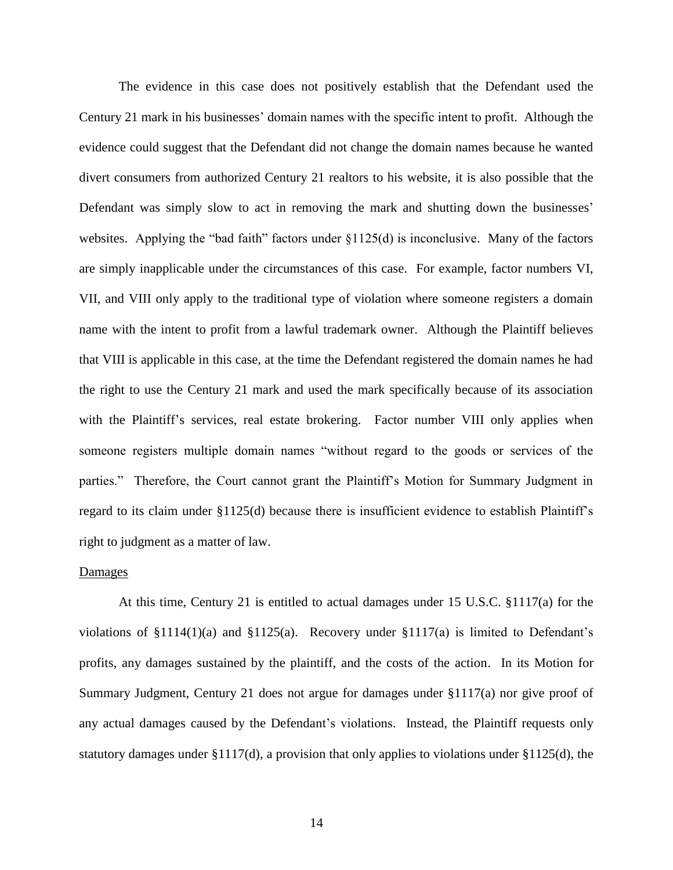The evidence in this case does not positively establish that the Defendant used the Century 21 mark in his businesses" domain names with the specific intent to profit. Although the evidence could suggest that the Defendant did not change the domain names because he wanted divert consumers from authorized Century 21 realtors to his website, it is also possible that the Defendant was simply slow to act in removing the mark and shutting down the businesses' websites. Applying the "bad faith" factors under §1125(d) is inconclusive. Many of the factors are simply inapplicable under the circumstances of this case. For example, factor numbers VI, VII, and VIII only apply to the traditional type of violation where someone registers a domain name with the intent to profit from a lawful trademark owner. Although the Plaintiff believes that VIII is applicable in this case, at the time the Defendant registered the domain names he had the right to use the Century 21 mark and used the mark specifically because of its association with the Plaintiff's services, real estate brokering. Factor number VIII only applies when someone registers multiple domain names "without regard to the goods or services of the parties." Therefore, the Court cannot grant the Plaintiff"s Motion for Summary Judgment in regard to its claim under §1125(d) because there is insufficient evidence to establish Plaintiff"s right to judgment as a matter of law.

#### Damages

At this time, Century 21 is entitled to actual damages under 15 U.S.C. §1117(a) for the violations of  $\S1114(1)(a)$  and  $\S1125(a)$ . Recovery under  $\S1117(a)$  is limited to Defendant's profits, any damages sustained by the plaintiff, and the costs of the action. In its Motion for Summary Judgment, Century 21 does not argue for damages under §1117(a) nor give proof of any actual damages caused by the Defendant"s violations. Instead, the Plaintiff requests only statutory damages under §1117(d), a provision that only applies to violations under §1125(d), the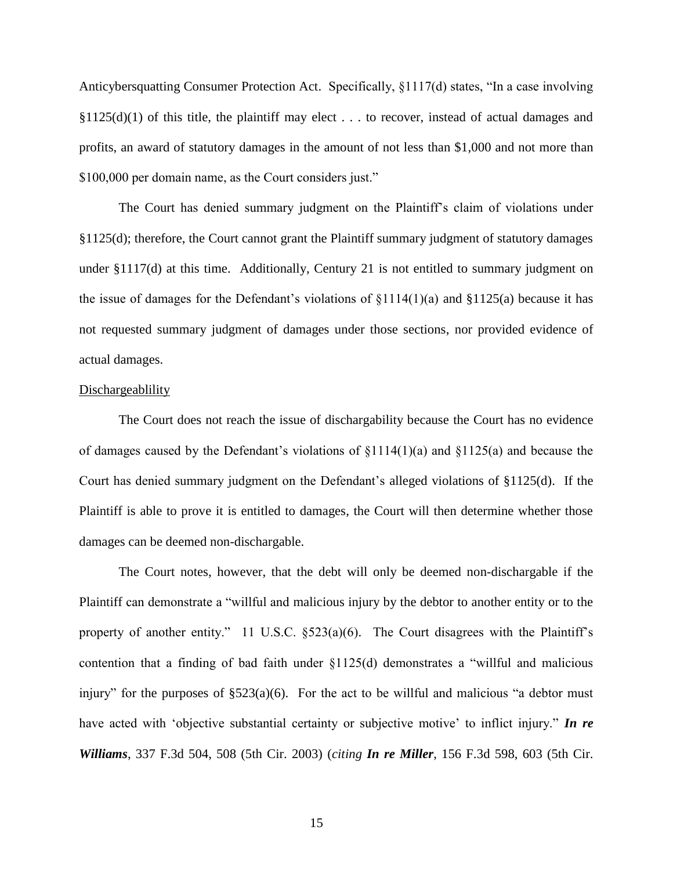Anticybersquatting Consumer Protection Act. Specifically, §1117(d) states, "In a case involving  $$1125(d)(1)$  of this title, the plaintiff may elect . . . to recover, instead of actual damages and profits, an award of statutory damages in the amount of not less than \$1,000 and not more than \$100,000 per domain name, as the Court considers just."

The Court has denied summary judgment on the Plaintiff"s claim of violations under §1125(d); therefore, the Court cannot grant the Plaintiff summary judgment of statutory damages under §1117(d) at this time. Additionally, Century 21 is not entitled to summary judgment on the issue of damages for the Defendant's violations of  $\S1114(1)(a)$  and  $\S1125(a)$  because it has not requested summary judgment of damages under those sections, nor provided evidence of actual damages.

### Dischargeablility

The Court does not reach the issue of dischargability because the Court has no evidence of damages caused by the Defendant's violations of  $\S1114(1)(a)$  and  $\S1125(a)$  and because the Court has denied summary judgment on the Defendant"s alleged violations of §1125(d). If the Plaintiff is able to prove it is entitled to damages, the Court will then determine whether those damages can be deemed non-dischargable.

The Court notes, however, that the debt will only be deemed non-dischargable if the Plaintiff can demonstrate a "willful and malicious injury by the debtor to another entity or to the property of another entity." 11 U.S.C.  $\S 523(a)(6)$ . The Court disagrees with the Plaintiff's contention that a finding of bad faith under §1125(d) demonstrates a "willful and malicious injury" for the purposes of  $\S523(a)(6)$ . For the act to be willful and malicious "a debtor must have acted with 'objective substantial certainty or subjective motive' to inflict injury." *In re Williams*, 337 F.3d 504, 508 (5th Cir. 2003) (*citing In re Miller*, 156 F.3d 598, 603 (5th Cir.